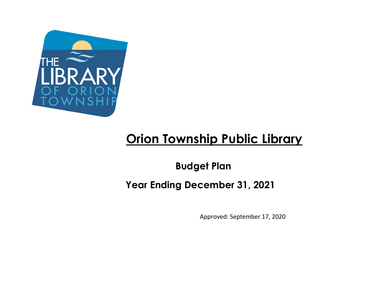

## **Orion Township Public Library**

**Budget Plan**

**Year Ending December 31, 2021**

Approved: September 17, 2020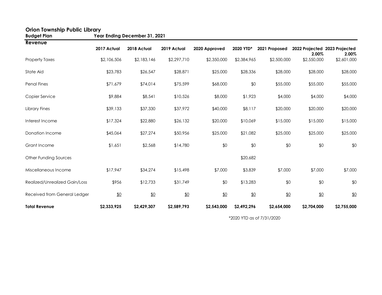| <b>Budget Plan</b>            | Year Ending December 31, 2021 |             |             |               |             |               |             |                                        |  |  |
|-------------------------------|-------------------------------|-------------|-------------|---------------|-------------|---------------|-------------|----------------------------------------|--|--|
| Revenue                       | 2017 Actual                   | 2018 Actual | 2019 Actual | 2020 Approved | 2020 YTD*   | 2021 Proposed | 2.00%       | 2022 Projected 2023 Projected<br>2.00% |  |  |
| <b>Property Taxes</b>         | \$2,106,506                   | \$2,183,146 | \$2,297,710 | \$2,350,000   | \$2,384,965 | \$2,500,000   | \$2,550,000 | \$2,601,000                            |  |  |
| State Aid                     | \$23,783                      | \$26,547    | \$28,871    | \$25,000      | \$28,336    | \$28,000      | \$28,000    | \$28,000                               |  |  |
| <b>Penal Fines</b>            | \$71,679                      | \$74,014    | \$75,599    | \$68,000      | \$0         | \$55,000      | \$55,000    | \$55,000                               |  |  |
| Copier Service                | \$9,884                       | \$8,541     | \$10,526    | \$8,000       | \$1,923     | \$4,000       | \$4,000     | \$4,000                                |  |  |
| Library Fines                 | \$39,133                      | \$37,330    | \$37,972    | \$40,000      | \$8,117     | \$20,000      | \$20,000    | \$20,000                               |  |  |
| Interest Income               | \$17,324                      | \$22,880    | \$26,132    | \$20,000      | \$10,069    | \$15,000      | \$15,000    | \$15,000                               |  |  |
| Donation Income               | \$45,064                      | \$27,274    | \$50,956    | \$25,000      | \$21,082    | \$25,000      | \$25,000    | \$25,000                               |  |  |
| Grant Income                  | \$1,651                       | \$2,568     | \$14,780    | \$0           | \$0         | \$0           | \$0         | \$0                                    |  |  |
| Other Funding Sources         |                               |             |             |               | \$20,682    |               |             |                                        |  |  |
| Miscellaneous Income          | \$17,947                      | \$34,274    | \$15,498    | \$7,000       | \$3,839     | \$7,000       | \$7,000     | \$7,000                                |  |  |
| Realized/Unrealized Gain/Loss | \$956                         | \$12,733    | \$31,749    | \$0           | \$13,283    | \$0           | \$0         | \$0                                    |  |  |
| Received from General Ledger  | \$0                           | \$0         | \$0         | \$0           | \$0         | \$0           | \$0         | \$0                                    |  |  |
| <b>Total Revenue</b>          | \$2,333,925                   | \$2,429,307 | \$2,589,793 | \$2,543,000   | \$2,492,296 | \$2,654,000   | \$2,704,000 | \$2,755,000                            |  |  |

## **Orion Township Public Library**

\*2020 YTD as of 7/31/2020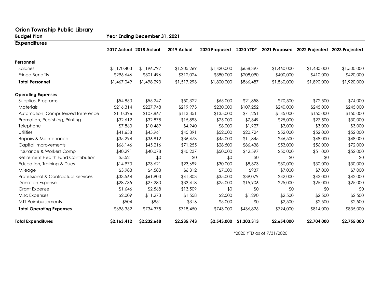| <b>Orion Township Public Library</b> |                               |                         |             |               |             |               |                |                |  |  |
|--------------------------------------|-------------------------------|-------------------------|-------------|---------------|-------------|---------------|----------------|----------------|--|--|
| <b>Budget Plan</b>                   | Year Ending December 31, 2021 |                         |             |               |             |               |                |                |  |  |
| <b>Expenditures</b>                  |                               |                         |             |               |             |               |                |                |  |  |
|                                      |                               | 2017 Actual 2018 Actual | 2019 Actual | 2020 Proposed | 2020 YTD*   | 2021 Proposed | 2022 Projected | 2023 Projected |  |  |
| Personnel                            |                               |                         |             |               |             |               |                |                |  |  |
| Salaries                             | \$1,170,403                   | \$1,196,797             | \$1,205,269 | \$1,420,000   | \$658,397   | \$1,460,000   | \$1,480,000    | \$1,500,000    |  |  |
| Fringe Benefits                      | \$296,646                     | \$301,496               | \$312,024   | \$380,000     | \$208,090   | \$400,000     | \$410,000      | \$420,000      |  |  |
| <b>Total Personnel</b>               | \$1,467,049                   | \$1,498,293             | \$1,517,293 | \$1,800,000   | \$866,487   | \$1,860,000   | \$1,890,000    | \$1,920,000    |  |  |
| <b>Operating Expenses</b>            |                               |                         |             |               |             |               |                |                |  |  |
| Supplies, Programs                   | \$54,853                      | \$55,247                | \$50,322    | \$65,000      | \$21,858    | \$70,500      | \$72,500       | \$74,000       |  |  |
| Materials                            | \$216,314                     | \$227,748               | \$219,973   | \$230,000     | \$107,252   | \$240,000     | \$245,000      | \$245,000      |  |  |
| Automation, Computerized Reference   | \$110,396                     | \$107,867               | \$113,351   | \$135,000     | \$71,251    | \$145,000     | \$150,000      | \$150,000      |  |  |
| Promotion, Publishing, Printing      | \$32,612                      | \$32,878                | \$15,893    | \$25,000      | \$7,349     | \$25,000      | \$27,500       | \$30,000       |  |  |
| Telephone                            | \$7,863                       | \$10,489                | \$4,940     | \$8,000       | \$1,927     | \$3,000       | \$3,000        | \$3,000        |  |  |
| <b>Utilities</b>                     | \$41,658                      | \$45,961                | \$45,391    | \$52,000      | \$20,724    | \$52,000      | \$52,000       | \$52,000       |  |  |
| Repairs & Maintenance                | \$35,294                      | \$36,812                | \$36,473    | \$45,000      | \$11,845    | \$46,500      | \$48,000       | \$48,000       |  |  |
| Capital Improvements                 | \$66,146                      | \$45,216                | \$71,255    | \$28,500      | \$86,438    | \$53,000      | \$56,000       | \$72,000       |  |  |
| Insurance & Workers Comp             | \$40,291                      | \$40,078                | \$40,237    | \$50,000      | \$42,597    | \$50,000      | \$51,000       | \$52,000       |  |  |
| Retirement Health Fund Contribution  | \$5,521                       | \$0                     | \$0         | \$0           | \$0         | \$0           | \$0            | \$0            |  |  |
| Education, Training & Dues           | \$14,973                      | \$23,621                | \$23,699    | \$30,000      | \$8,373     | \$30,000      | \$30,000       | \$30,000       |  |  |
| Mileage                              | \$3,983                       | \$4,583                 | \$6,312     | \$7,000       | \$937       | \$7,000       | \$7,000        | \$7,000        |  |  |
| Professional & Contractual Services  | \$33,564                      | \$61,903                | \$41,803    | \$35,000      | \$39,079    | \$42,000      | \$42,000       | \$42,000       |  |  |
| <b>Donation Expense</b>              | \$28,735                      | \$27,280                | \$33,418    | \$25,000      | \$15,906    | \$25,000      | \$25,000       | \$25,000       |  |  |
| <b>Grant Expense</b>                 | \$1,646                       | \$2,568                 | \$13,509    | \$0           | \$0         | \$0           | \$0            | \$0            |  |  |
| Misc Expenses                        | \$2,009                       | \$11,273                | \$1,558     | \$2,500       | \$1,290     | \$2,500       | \$2,500        | \$2,500        |  |  |
| <b>MTT Reimbursements</b>            | \$504                         | \$851                   | \$316       | \$5,000       | \$0         | \$2,500       | \$2,500        | \$2,500        |  |  |
| <b>Total Operating Expenses</b>      | \$696,362                     | \$734,375               | \$718,450   | \$743,000     | \$436,826   | \$794,000     | \$814,000      | \$835,000      |  |  |
| <b>Total Expenditures</b>            | \$2,163,412                   | \$2,232,668             | \$2,235,743 | \$2,543,000   | \$1,303,313 | \$2,654,000   | \$2,704,000    | \$2,755,000    |  |  |

\*2020 YTD as of 7/31/2020